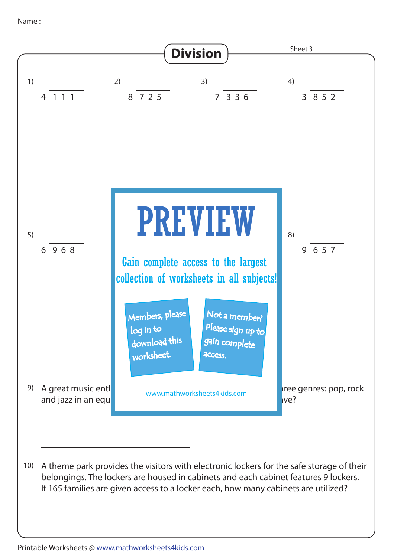